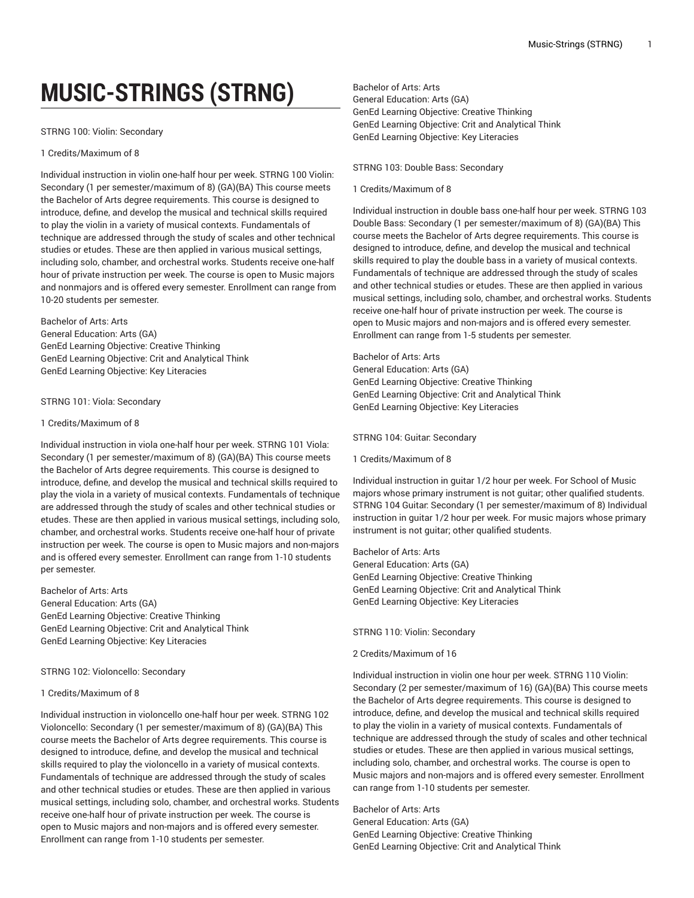# **MUSIC-STRINGS (STRNG)**

# STRNG 100: Violin: Secondary

# 1 Credits/Maximum of 8

Individual instruction in violin one-half hour per week. STRNG 100 Violin: Secondary (1 per semester/maximum of 8) (GA)(BA) This course meets the Bachelor of Arts degree requirements. This course is designed to introduce, define, and develop the musical and technical skills required to play the violin in a variety of musical contexts. Fundamentals of technique are addressed through the study of scales and other technical studies or etudes. These are then applied in various musical settings, including solo, chamber, and orchestral works. Students receive one-half hour of private instruction per week. The course is open to Music majors and nonmajors and is offered every semester. Enrollment can range from 10-20 students per semester.

# Bachelor of Arts: Arts

General Education: Arts (GA) GenEd Learning Objective: Creative Thinking GenEd Learning Objective: Crit and Analytical Think GenEd Learning Objective: Key Literacies

# STRNG 101: Viola: Secondary

#### 1 Credits/Maximum of 8

Individual instruction in viola one-half hour per week. STRNG 101 Viola: Secondary (1 per semester/maximum of 8) (GA)(BA) This course meets the Bachelor of Arts degree requirements. This course is designed to introduce, define, and develop the musical and technical skills required to play the viola in a variety of musical contexts. Fundamentals of technique are addressed through the study of scales and other technical studies or etudes. These are then applied in various musical settings, including solo, chamber, and orchestral works. Students receive one-half hour of private instruction per week. The course is open to Music majors and non-majors and is offered every semester. Enrollment can range from 1-10 students per semester.

Bachelor of Arts: Arts General Education: Arts (GA) GenEd Learning Objective: Creative Thinking GenEd Learning Objective: Crit and Analytical Think GenEd Learning Objective: Key Literacies

#### STRNG 102: Violoncello: Secondary

#### 1 Credits/Maximum of 8

Individual instruction in violoncello one-half hour per week. STRNG 102 Violoncello: Secondary (1 per semester/maximum of 8) (GA)(BA) This course meets the Bachelor of Arts degree requirements. This course is designed to introduce, define, and develop the musical and technical skills required to play the violoncello in a variety of musical contexts. Fundamentals of technique are addressed through the study of scales and other technical studies or etudes. These are then applied in various musical settings, including solo, chamber, and orchestral works. Students receive one-half hour of private instruction per week. The course is open to Music majors and non-majors and is offered every semester. Enrollment can range from 1-10 students per semester.

Bachelor of Arts: Arts General Education: Arts (GA) GenEd Learning Objective: Creative Thinking GenEd Learning Objective: Crit and Analytical Think GenEd Learning Objective: Key Literacies

# STRNG 103: Double Bass: Secondary

#### 1 Credits/Maximum of 8

Individual instruction in double bass one-half hour per week. STRNG 103 Double Bass: Secondary (1 per semester/maximum of 8) (GA)(BA) This course meets the Bachelor of Arts degree requirements. This course is designed to introduce, define, and develop the musical and technical skills required to play the double bass in a variety of musical contexts. Fundamentals of technique are addressed through the study of scales and other technical studies or etudes. These are then applied in various musical settings, including solo, chamber, and orchestral works. Students receive one-half hour of private instruction per week. The course is open to Music majors and non-majors and is offered every semester. Enrollment can range from 1-5 students per semester.

Bachelor of Arts: Arts General Education: Arts (GA) GenEd Learning Objective: Creative Thinking GenEd Learning Objective: Crit and Analytical Think GenEd Learning Objective: Key Literacies

## STRNG 104: Guitar: Secondary

1 Credits/Maximum of 8

Individual instruction in guitar 1/2 hour per week. For School of Music majors whose primary instrument is not guitar; other qualified students. STRNG 104 Guitar: Secondary (1 per semester/maximum of 8) Individual instruction in guitar 1/2 hour per week. For music majors whose primary instrument is not guitar; other qualified students.

Bachelor of Arts: Arts General Education: Arts (GA) GenEd Learning Objective: Creative Thinking GenEd Learning Objective: Crit and Analytical Think GenEd Learning Objective: Key Literacies

STRNG 110: Violin: Secondary

# 2 Credits/Maximum of 16

Individual instruction in violin one hour per week. STRNG 110 Violin: Secondary (2 per semester/maximum of 16) (GA)(BA) This course meets the Bachelor of Arts degree requirements. This course is designed to introduce, define, and develop the musical and technical skills required to play the violin in a variety of musical contexts. Fundamentals of technique are addressed through the study of scales and other technical studies or etudes. These are then applied in various musical settings, including solo, chamber, and orchestral works. The course is open to Music majors and non-majors and is offered every semester. Enrollment can range from 1-10 students per semester.

Bachelor of Arts: Arts General Education: Arts (GA) GenEd Learning Objective: Creative Thinking GenEd Learning Objective: Crit and Analytical Think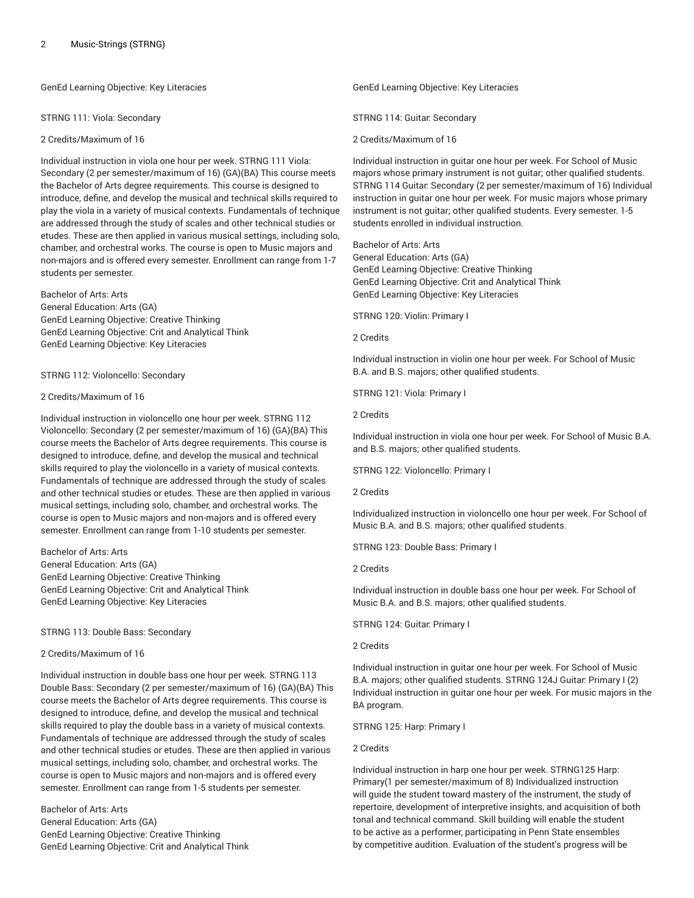GenEd Learning Objective: Key Literacies

STRNG 111: Viola: Secondary

2 Credits/Maximum of 16

Individual instruction in viola one hour per week. STRNG 111 Viola: Secondary (2 per semester/maximum of 16) (GA)(BA) This course meets the Bachelor of Arts degree requirements. This course is designed to introduce, define, and develop the musical and technical skills required to play the viola in a variety of musical contexts. Fundamentals of technique are addressed through the study of scales and other technical studies or etudes. These are then applied in various musical settings, including solo, chamber, and orchestral works. The course is open to Music majors and non-majors and is offered every semester. Enrollment can range from 1-7 students per semester.

Bachelor of Arts: Arts General Education: Arts (GA) GenEd Learning Objective: Creative Thinking GenEd Learning Objective: Crit and Analytical Think GenEd Learning Objective: Key Literacies

STRNG 112: Violoncello: Secondary

# 2 Credits/Maximum of 16

Individual instruction in violoncello one hour per week. STRNG 112 Violoncello: Secondary (2 per semester/maximum of 16) (GA)(BA) This course meets the Bachelor of Arts degree requirements. This course is designed to introduce, define, and develop the musical and technical skills required to play the violoncello in a variety of musical contexts. Fundamentals of technique are addressed through the study of scales and other technical studies or etudes. These are then applied in various musical settings, including solo, chamber, and orchestral works. The course is open to Music majors and non-majors and is offered every semester. Enrollment can range from 1-10 students per semester.

Bachelor of Arts: Arts General Education: Arts (GA) GenEd Learning Objective: Creative Thinking GenEd Learning Objective: Crit and Analytical Think GenEd Learning Objective: Key Literacies

STRNG 113: Double Bass: Secondary

# 2 Credits/Maximum of 16

Individual instruction in double bass one hour per week. STRNG 113 Double Bass: Secondary (2 per semester/maximum of 16) (GA)(BA) This course meets the Bachelor of Arts degree requirements. This course is designed to introduce, define, and develop the musical and technical skills required to play the double bass in a variety of musical contexts. Fundamentals of technique are addressed through the study of scales and other technical studies or etudes. These are then applied in various musical settings, including solo, chamber, and orchestral works. The course is open to Music majors and non-majors and is offered every semester. Enrollment can range from 1-5 students per semester.

Bachelor of Arts: Arts General Education: Arts (GA) GenEd Learning Objective: Creative Thinking GenEd Learning Objective: Crit and Analytical Think GenEd Learning Objective: Key Literacies

STRNG 114: Guitar: Secondary

2 Credits/Maximum of 16

Individual instruction in guitar one hour per week. For School of Music majors whose primary instrument is not guitar; other qualified students. STRNG 114 Guitar: Secondary (2 per semester/maximum of 16) Individual instruction in guitar one hour per week. For music majors whose primary instrument is not guitar; other qualified students. Every semester. 1-5 students enrolled in individual instruction.

Bachelor of Arts: Arts General Education: Arts (GA) GenEd Learning Objective: Creative Thinking GenEd Learning Objective: Crit and Analytical Think GenEd Learning Objective: Key Literacies

STRNG 120: Violin: Primary I

2 Credits

Individual instruction in violin one hour per week. For School of Music B.A. and B.S. majors; other qualified students.

STRNG 121: Viola: Primary I

2 Credits

Individual instruction in viola one hour per week. For School of Music B.A. and B.S. majors; other qualified students.

STRNG 122: Violoncello: Primary I

2 Credits

Individualized instruction in violoncello one hour per week. For School of Music B.A. and B.S. majors; other qualified students.

STRNG 123: Double Bass: Primary I

2 Credits

Individual instruction in double bass one hour per week. For School of Music B.A. and B.S. majors; other qualified students.

STRNG 124: Guitar: Primary I

# 2 Credits

Individual instruction in guitar one hour per week. For School of Music B.A. majors; other qualified students. STRNG 124J Guitar: Primary I (2) Individual instruction in guitar one hour per week. For music majors in the BA program.

STRNG 125: Harp: Primary I

# 2 Credits

Individual instruction in harp one hour per week. STRNG125 Harp: Primary(1 per semester/maximum of 8) Individualized instruction will guide the student toward mastery of the instrument, the study of repertoire, development of interpretive insights, and acquisition of both tonal and technical command. Skill building will enable the student to be active as a performer, participating in Penn State ensembles by competitive audition. Evaluation of the student's progress will be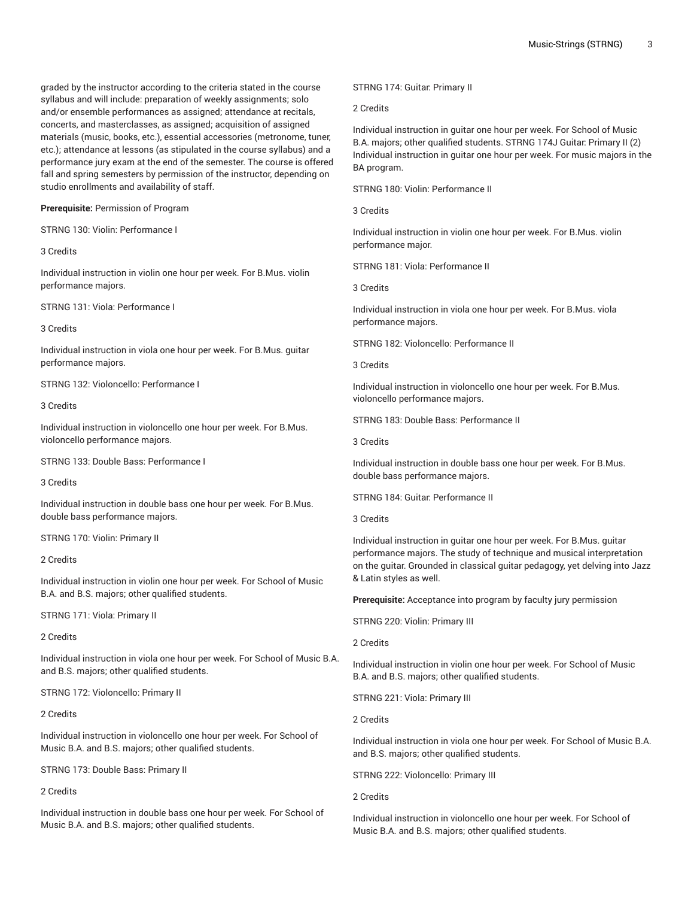graded by the instructor according to the criteria stated in the course syllabus and will include: preparation of weekly assignments; solo and/or ensemble performances as assigned; attendance at recitals, concerts, and masterclasses, as assigned; acquisition of assigned materials (music, books, etc.), essential accessories (metronome, tuner, etc.); attendance at lessons (as stipulated in the course syllabus) and a performance jury exam at the end of the semester. The course is offered fall and spring semesters by permission of the instructor, depending on studio enrollments and availability of staff.

**Prerequisite:** Permission of Program

STRNG 130: Violin: Performance I

3 Credits

Individual instruction in violin one hour per week. For B.Mus. violin performance majors.

STRNG 131: Viola: Performance I

3 Credits

Individual instruction in viola one hour per week. For B.Mus. guitar performance majors.

STRNG 132: Violoncello: Performance I

3 Credits

Individual instruction in violoncello one hour per week. For B.Mus. violoncello performance majors.

STRNG 133: Double Bass: Performance I

3 Credits

Individual instruction in double bass one hour per week. For B.Mus. double bass performance majors.

STRNG 170: Violin: Primary II

2 Credits

Individual instruction in violin one hour per week. For School of Music B.A. and B.S. majors; other qualified students.

STRNG 171: Viola: Primary II

2 Credits

Individual instruction in viola one hour per week. For School of Music B.A. and B.S. majors; other qualified students.

STRNG 172: Violoncello: Primary II

2 Credits

Individual instruction in violoncello one hour per week. For School of Music B.A. and B.S. majors; other qualified students.

STRNG 173: Double Bass: Primary II

2 Credits

Individual instruction in double bass one hour per week. For School of Music B.A. and B.S. majors; other qualified students.

STRNG 174: Guitar: Primary II

2 Credits

Individual instruction in guitar one hour per week. For School of Music B.A. majors; other qualified students. STRNG 174J Guitar: Primary II (2) Individual instruction in guitar one hour per week. For music majors in the BA program.

STRNG 180: Violin: Performance II

3 Credits

Individual instruction in violin one hour per week. For B.Mus. violin performance major.

STRNG 181: Viola: Performance II

3 Credits

Individual instruction in viola one hour per week. For B.Mus. viola performance majors.

STRNG 182: Violoncello: Performance II

3 Credits

Individual instruction in violoncello one hour per week. For B.Mus. violoncello performance majors.

STRNG 183: Double Bass: Performance II

3 Credits

Individual instruction in double bass one hour per week. For B.Mus. double bass performance majors.

STRNG 184: Guitar: Performance II

3 Credits

Individual instruction in guitar one hour per week. For B.Mus. guitar performance majors. The study of technique and musical interpretation on the guitar. Grounded in classical guitar pedagogy, yet delving into Jazz & Latin styles as well.

**Prerequisite:** Acceptance into program by faculty jury permission

STRNG 220: Violin: Primary III

2 Credits

Individual instruction in violin one hour per week. For School of Music B.A. and B.S. majors; other qualified students.

STRNG 221: Viola: Primary III

2 Credits

Individual instruction in viola one hour per week. For School of Music B.A. and B.S. majors; other qualified students.

STRNG 222: Violoncello: Primary III

2 Credits

Individual instruction in violoncello one hour per week. For School of Music B.A. and B.S. majors; other qualified students.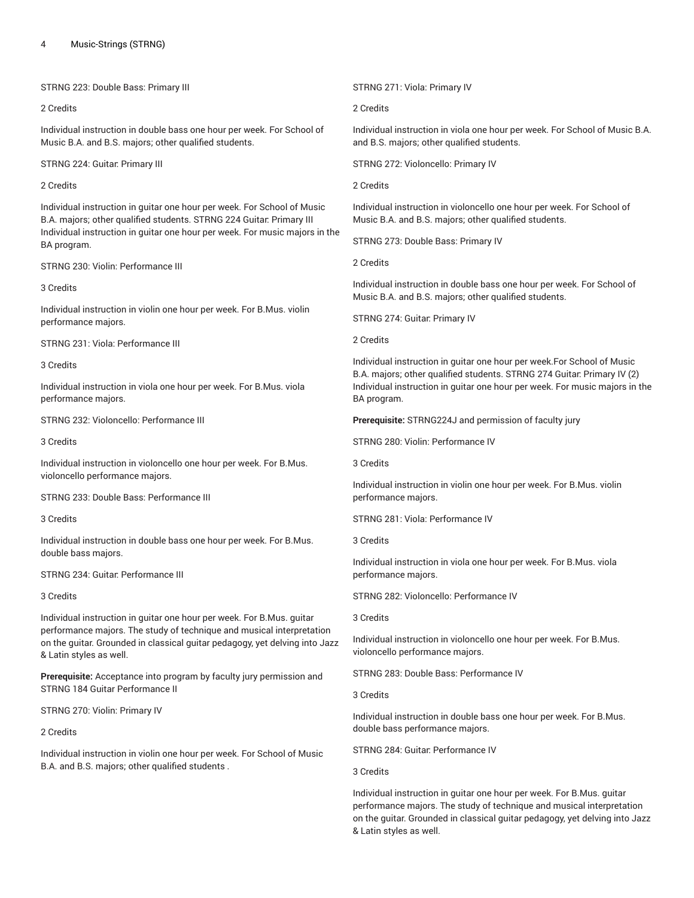STRNG 223: Double Bass: Primary III

# 2 Credits

Individual instruction in double bass one hour per week. For School of Music B.A. and B.S. majors; other qualified students.

STRNG 224: Guitar: Primary III

# 2 Credits

Individual instruction in guitar one hour per week. For School of Music B.A. majors; other qualified students. STRNG 224 Guitar: Primary III Individual instruction in guitar one hour per week. For music majors in the BA program.

STRNG 230: Violin: Performance III

3 Credits

Individual instruction in violin one hour per week. For B.Mus. violin performance majors.

STRNG 231: Viola: Performance III

3 Credits

Individual instruction in viola one hour per week. For B.Mus. viola performance majors.

STRNG 232: Violoncello: Performance III

3 Credits

Individual instruction in violoncello one hour per week. For B.Mus. violoncello performance majors.

STRNG 233: Double Bass: Performance III

3 Credits

Individual instruction in double bass one hour per week. For B.Mus. double bass majors.

STRNG 234: Guitar: Performance III

3 Credits

Individual instruction in guitar one hour per week. For B.Mus. guitar performance majors. The study of technique and musical interpretation on the guitar. Grounded in classical guitar pedagogy, yet delving into Jazz & Latin styles as well.

**Prerequisite:** Acceptance into program by faculty jury permission and STRNG 184 Guitar Performance II

STRNG 270: Violin: Primary IV

2 Credits

Individual instruction in violin one hour per week. For School of Music B.A. and B.S. majors; other qualified students .

STRNG 271: Viola: Primary IV

2 Credits

Individual instruction in viola one hour per week. For School of Music B.A. and B.S. majors; other qualified students.

STRNG 272: Violoncello: Primary IV

2 Credits

Individual instruction in violoncello one hour per week. For School of Music B.A. and B.S. majors; other qualified students.

STRNG 273: Double Bass: Primary IV

2 Credits

Individual instruction in double bass one hour per week. For School of Music B.A. and B.S. majors; other qualified students.

STRNG 274: Guitar: Primary IV

2 Credits

Individual instruction in guitar one hour per week.For School of Music B.A. majors; other qualified students. STRNG 274 Guitar: Primary IV (2) Individual instruction in guitar one hour per week. For music majors in the BA program.

**Prerequisite:** STRNG224J and permission of faculty jury

STRNG 280: Violin: Performance IV

3 Credits

Individual instruction in violin one hour per week. For B.Mus. violin performance majors.

STRNG 281: Viola: Performance IV

3 Credits

Individual instruction in viola one hour per week. For B.Mus. viola performance majors.

STRNG 282: Violoncello: Performance IV

3 Credits

Individual instruction in violoncello one hour per week. For B.Mus. violoncello performance majors.

STRNG 283: Double Bass: Performance IV

3 Credits

Individual instruction in double bass one hour per week. For B.Mus. double bass performance majors.

STRNG 284: Guitar: Performance IV

3 Credits

Individual instruction in guitar one hour per week. For B.Mus. guitar performance majors. The study of technique and musical interpretation on the guitar. Grounded in classical guitar pedagogy, yet delving into Jazz & Latin styles as well.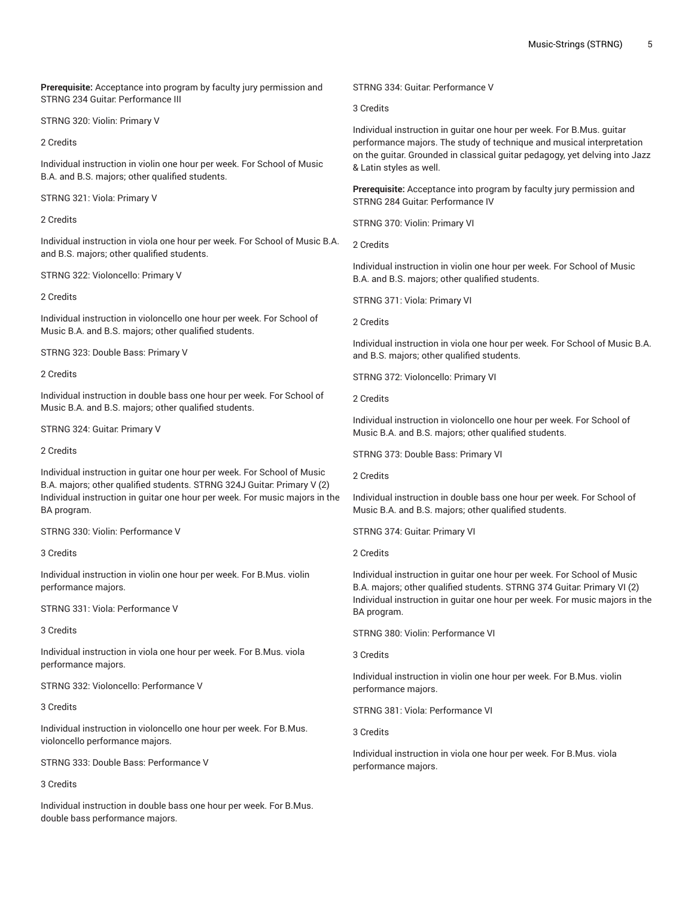**Prerequisite:** Acceptance into program by faculty jury permission and STRNG 234 Guitar: Performance III

STRNG 320: Violin: Primary V

2 Credits

Individual instruction in violin one hour per week. For School of Music B.A. and B.S. majors; other qualified students.

STRNG 321: Viola: Primary V

# 2 Credits

Individual instruction in viola one hour per week. For School of Music B.A. and B.S. majors; other qualified students.

STRNG 322: Violoncello: Primary V

# 2 Credits

Individual instruction in violoncello one hour per week. For School of Music B.A. and B.S. majors; other qualified students.

STRNG 323: Double Bass: Primary V

2 Credits

Individual instruction in double bass one hour per week. For School of Music B.A. and B.S. majors; other qualified students.

STRNG 324: Guitar: Primary V

2 Credits

Individual instruction in guitar one hour per week. For School of Music B.A. majors; other qualified students. STRNG 324J Guitar: Primary V (2) Individual instruction in guitar one hour per week. For music majors in the BA program.

STRNG 330: Violin: Performance V

3 Credits

Individual instruction in violin one hour per week. For B.Mus. violin performance majors.

STRNG 331: Viola: Performance V

3 Credits

Individual instruction in viola one hour per week. For B.Mus. viola performance majors.

STRNG 332: Violoncello: Performance V

# 3 Credits

Individual instruction in violoncello one hour per week. For B.Mus. violoncello performance majors.

STRNG 333: Double Bass: Performance V

3 Credits

Individual instruction in double bass one hour per week. For B.Mus. double bass performance majors.

STRNG 334: Guitar: Performance V

3 Credits

Individual instruction in guitar one hour per week. For B.Mus. guitar performance majors. The study of technique and musical interpretation on the guitar. Grounded in classical guitar pedagogy, yet delving into Jazz & Latin styles as well.

**Prerequisite:** Acceptance into program by faculty jury permission and STRNG 284 Guitar: Performance IV

STRNG 370: Violin: Primary VI

2 Credits

Individual instruction in violin one hour per week. For School of Music B.A. and B.S. majors; other qualified students.

STRNG 371: Viola: Primary VI

2 Credits

Individual instruction in viola one hour per week. For School of Music B.A. and B.S. majors; other qualified students.

STRNG 372: Violoncello: Primary VI

2 Credits

Individual instruction in violoncello one hour per week. For School of Music B.A. and B.S. majors; other qualified students.

STRNG 373: Double Bass: Primary VI

2 Credits

Individual instruction in double bass one hour per week. For School of Music B.A. and B.S. majors; other qualified students.

STRNG 374: Guitar: Primary VI

# 2 Credits

Individual instruction in guitar one hour per week. For School of Music B.A. majors; other qualified students. STRNG 374 Guitar: Primary VI (2) Individual instruction in guitar one hour per week. For music majors in the BA program.

STRNG 380: Violin: Performance VI

3 Credits

Individual instruction in violin one hour per week. For B.Mus. violin performance majors.

STRNG 381: Viola: Performance VI

3 Credits

Individual instruction in viola one hour per week. For B.Mus. viola performance majors.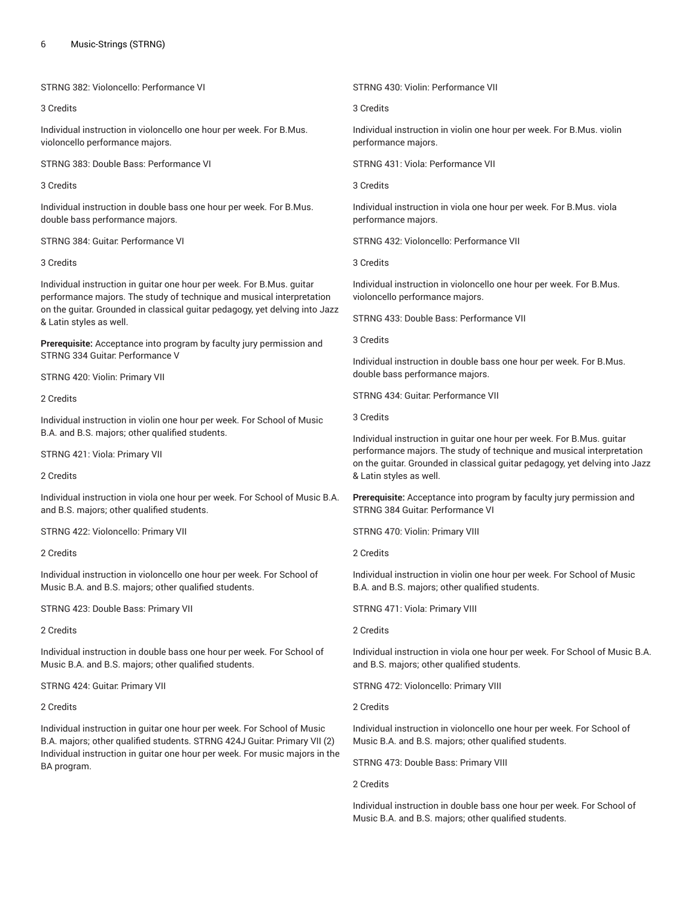STRNG 382: Violoncello: Performance VI

# 3 Credits

Individual instruction in violoncello one hour per week. For B.Mus. violoncello performance majors.

STRNG 383: Double Bass: Performance VI

3 Credits

Individual instruction in double bass one hour per week. For B.Mus. double bass performance majors.

STRNG 384: Guitar: Performance VI

# 3 Credits

Individual instruction in guitar one hour per week. For B.Mus. guitar performance majors. The study of technique and musical interpretation on the guitar. Grounded in classical guitar pedagogy, yet delving into Jazz & Latin styles as well.

**Prerequisite:** Acceptance into program by faculty jury permission and STRNG 334 Guitar: Performance V

STRNG 420: Violin: Primary VII

2 Credits

Individual instruction in violin one hour per week. For School of Music B.A. and B.S. majors; other qualified students.

STRNG 421: Viola: Primary VII

2 Credits

Individual instruction in viola one hour per week. For School of Music B.A. and B.S. majors; other qualified students.

STRNG 422: Violoncello: Primary VII

2 Credits

Individual instruction in violoncello one hour per week. For School of Music B.A. and B.S. majors; other qualified students.

STRNG 423: Double Bass: Primary VII

2 Credits

Individual instruction in double bass one hour per week. For School of Music B.A. and B.S. majors; other qualified students.

STRNG 424: Guitar: Primary VII

2 Credits

Individual instruction in guitar one hour per week. For School of Music B.A. majors; other qualified students. STRNG 424J Guitar: Primary VII (2) Individual instruction in guitar one hour per week. For music majors in the BA program.

STRNG 430: Violin: Performance VII

3 Credits

Individual instruction in violin one hour per week. For B.Mus. violin performance majors.

STRNG 431: Viola: Performance VII

3 Credits

Individual instruction in viola one hour per week. For B.Mus. viola performance majors.

STRNG 432: Violoncello: Performance VII

3 Credits

Individual instruction in violoncello one hour per week. For B.Mus. violoncello performance majors.

STRNG 433: Double Bass: Performance VII

3 Credits

Individual instruction in double bass one hour per week. For B.Mus. double bass performance majors.

STRNG 434: Guitar: Performance VII

3 Credits

Individual instruction in guitar one hour per week. For B.Mus. guitar performance majors. The study of technique and musical interpretation on the guitar. Grounded in classical guitar pedagogy, yet delving into Jazz & Latin styles as well.

**Prerequisite:** Acceptance into program by faculty jury permission and STRNG 384 Guitar: Performance VI

STRNG 470: Violin: Primary VIII

2 Credits

Individual instruction in violin one hour per week. For School of Music B.A. and B.S. majors; other qualified students.

STRNG 471: Viola: Primary VIII

2 Credits

Individual instruction in viola one hour per week. For School of Music B.A. and B.S. majors; other qualified students.

STRNG 472: Violoncello: Primary VIII

2 Credits

Individual instruction in violoncello one hour per week. For School of Music B.A. and B.S. majors; other qualified students.

STRNG 473: Double Bass: Primary VIII

2 Credits

Individual instruction in double bass one hour per week. For School of Music B.A. and B.S. majors; other qualified students.